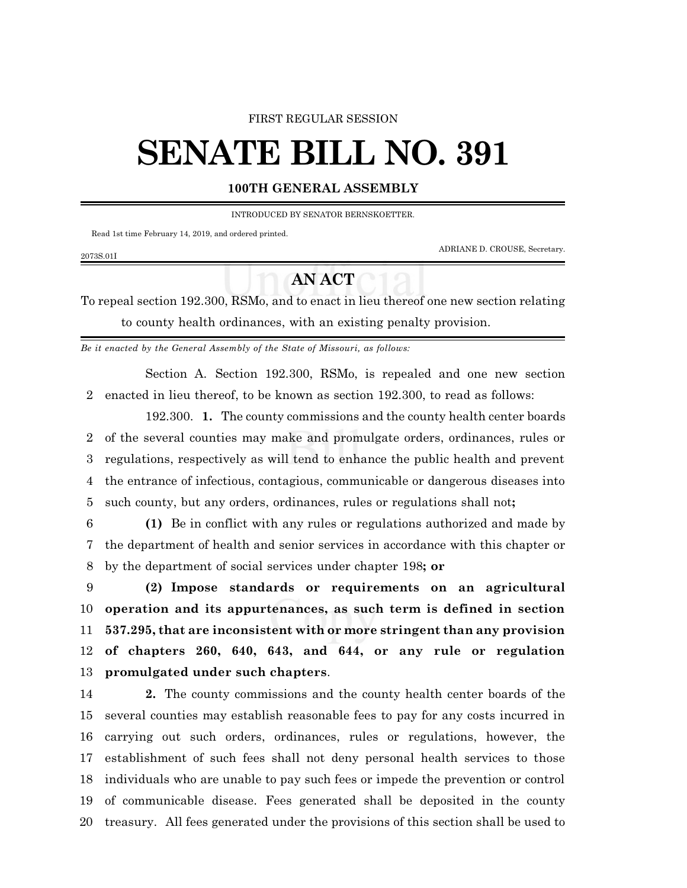## FIRST REGULAR SESSION

## **SENATE BILL NO. 391**

## **100TH GENERAL ASSEMBLY**

INTRODUCED BY SENATOR BERNSKOETTER.

Read 1st time February 14, 2019, and ordered printed.

2073S.01I

ADRIANE D. CROUSE, Secretary.

## **AN ACT**

To repeal section 192.300, RSMo, and to enact in lieu thereof one new section relating to county health ordinances, with an existing penalty provision.

*Be it enacted by the General Assembly of the State of Missouri, as follows:*

Section A. Section 192.300, RSMo, is repealed and one new section enacted in lieu thereof, to be known as section 192.300, to read as follows:

192.300. **1.** The county commissions and the county health center boards of the several counties may make and promulgate orders, ordinances, rules or regulations, respectively as will tend to enhance the public health and prevent the entrance of infectious, contagious, communicable or dangerous diseases into such county, but any orders, ordinances, rules or regulations shall not**;**

 **(1)** Be in conflict with any rules or regulations authorized and made by the department of health and senior services in accordance with this chapter or by the department of social services under chapter 198**; or**

 **(2) Impose standards or requirements on an agricultural operation and its appurtenances, as such term is defined in section 537.295, that are inconsistent with or more stringent than any provision of chapters 260, 640, 643, and 644, or any rule or regulation promulgated under such chapters**.

 **2.** The county commissions and the county health center boards of the several counties may establish reasonable fees to pay for any costs incurred in carrying out such orders, ordinances, rules or regulations, however, the establishment of such fees shall not deny personal health services to those individuals who are unable to pay such fees or impede the prevention or control of communicable disease. Fees generated shall be deposited in the county treasury. All fees generated under the provisions of this section shall be used to